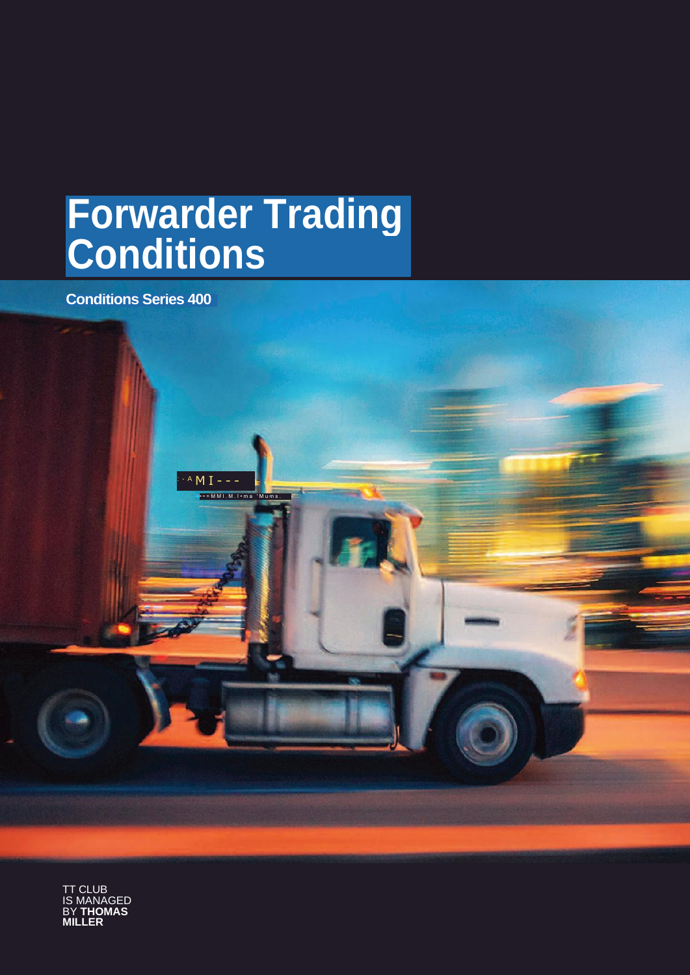# **Forwarder Trading Conditions**

 $M I - -$ 

• • = M M I . M . I • m a ' M u m s .

**Conditions Series 400**

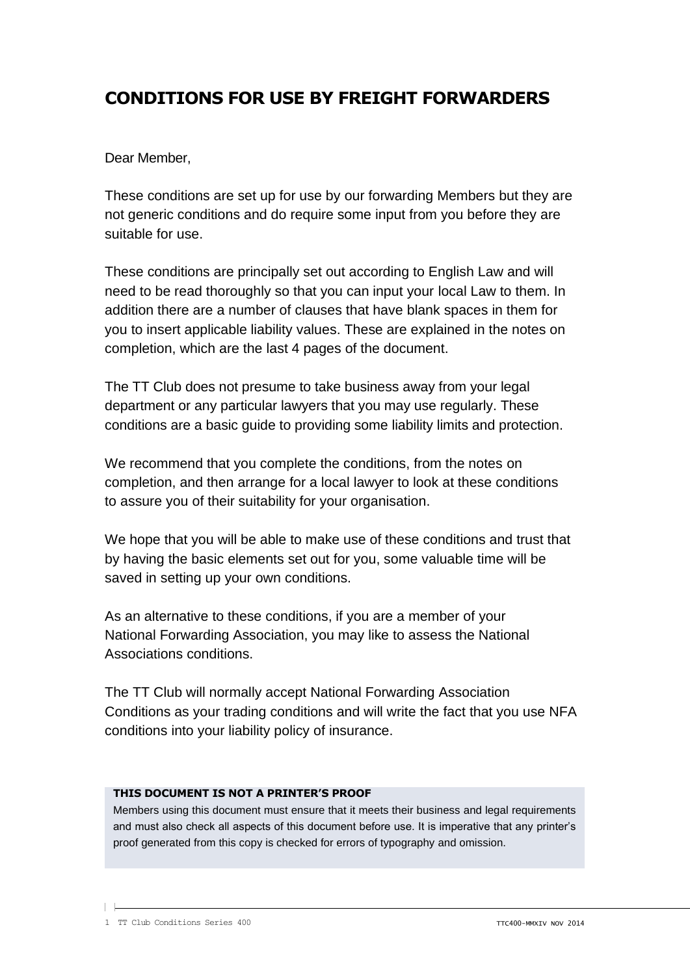# **CONDITIONS FOR USE BY FREIGHT FORWARDERS**

Dear Member,

These conditions are set up for use by our forwarding Members but they are not generic conditions and do require some input from you before they are suitable for use.

These conditions are principally set out according to English Law and will need to be read thoroughly so that you can input your local Law to them. In addition there are a number of clauses that have blank spaces in them for you to insert applicable liability values. These are explained in the notes on completion, which are the last 4 pages of the document.

The TT Club does not presume to take business away from your legal department or any particular lawyers that you may use regularly. These conditions are a basic guide to providing some liability limits and protection.

We recommend that you complete the conditions, from the notes on completion, and then arrange for a local lawyer to look at these conditions to assure you of their suitability for your organisation.

We hope that you will be able to make use of these conditions and trust that by having the basic elements set out for you, some valuable time will be saved in setting up your own conditions.

As an alternative to these conditions, if you are a member of your National Forwarding Association, you may like to assess the National Associations conditions.

The TT Club will normally accept National Forwarding Association Conditions as your trading conditions and will write the fact that you use NFA conditions into your liability policy of insurance.

## **THIS DOCUMENT IS NOT A PRINTER'S PROOF**

Members using this document must ensure that it meets their business and legal requirements and must also check all aspects of this document before use. It is imperative that any printer's proof generated from this copy is checked for errors of typography and omission.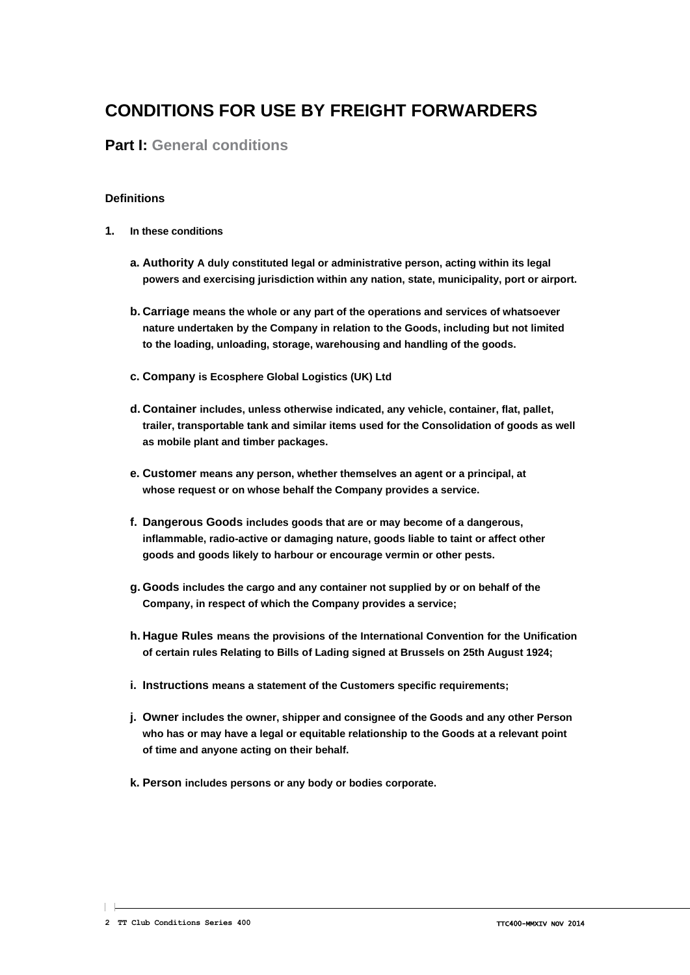# **CONDITIONS FOR USE BY FREIGHT FORWARDERS**

# **Part I: General conditions**

#### **Definitions**

- **1. In these conditions**
	- **a. Authority A duly constituted legal or administrative person, acting within its legal powers and exercising jurisdiction within any nation, state, municipality, port or airport.**
	- **b. Carriage means the whole or any part of the operations and services of whatsoever nature undertaken by the Company in relation to the Goods, including but not limited to the loading, unloading, storage, warehousing and handling of the goods.**
	- **c. Company is Ecosphere Global Logistics (UK) Ltd**
	- **d. Container includes, unless otherwise indicated, any vehicle, container, flat, pallet, trailer, transportable tank and similar items used for the Consolidation of goods as well as mobile plant and timber packages.**
	- **e. Customer means any person, whether themselves an agent or a principal, at whose request or on whose behalf the Company provides a service.**
	- **f. Dangerous Goods includes goods that are or may become of a dangerous, inflammable, radio-active or damaging nature, goods liable to taint or affect other goods and goods likely to harbour or encourage vermin or other pests.**
	- **g. Goods includes the cargo and any container not supplied by or on behalf of the Company, in respect of which the Company provides a service;**
	- **h. Hague Rules means the provisions of the International Convention for the Unification of certain rules Relating to Bills of Lading signed at Brussels on 25th August 1924;**
	- **i. Instructions means a statement of the Customers specific requirements;**
	- **j. Owner includes the owner, shipper and consignee of the Goods and any other Person who has or may have a legal or equitable relationship to the Goods at a relevant point of time and anyone acting on their behalf.**
	- **k. Person includes persons or any body or bodies corporate.**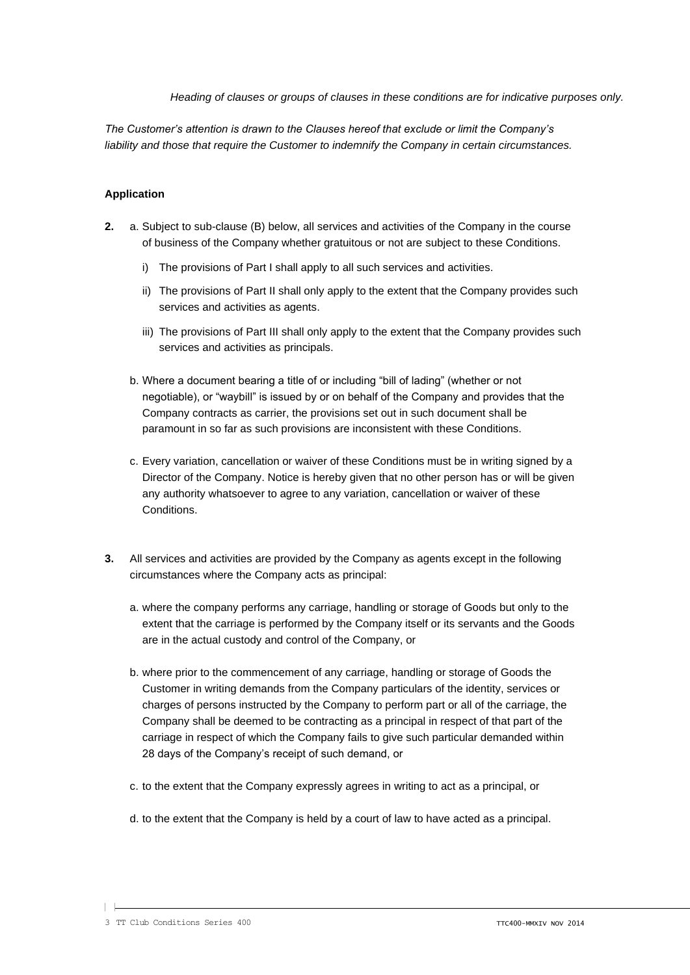*Heading of clauses or groups of clauses in these conditions are for indicative purposes only.*

*The Customer's attention is drawn to the Clauses hereof that exclude or limit the Company's liability and those that require the Customer to indemnify the Company in certain circumstances.*

#### **Application**

- **2.** a. Subject to sub-clause (B) below, all services and activities of the Company in the course of business of the Company whether gratuitous or not are subject to these Conditions.
	- i) The provisions of Part I shall apply to all such services and activities.
	- ii) The provisions of Part II shall only apply to the extent that the Company provides such services and activities as agents.
	- iii) The provisions of Part III shall only apply to the extent that the Company provides such services and activities as principals.
	- b. Where a document bearing a title of or including "bill of lading" (whether or not negotiable), or "waybill" is issued by or on behalf of the Company and provides that the Company contracts as carrier, the provisions set out in such document shall be paramount in so far as such provisions are inconsistent with these Conditions.
	- c. Every variation, cancellation or waiver of these Conditions must be in writing signed by a Director of the Company. Notice is hereby given that no other person has or will be given any authority whatsoever to agree to any variation, cancellation or waiver of these Conditions.
- **3.** All services and activities are provided by the Company as agents except in the following circumstances where the Company acts as principal:
	- a. where the company performs any carriage, handling or storage of Goods but only to the extent that the carriage is performed by the Company itself or its servants and the Goods are in the actual custody and control of the Company, or
	- b. where prior to the commencement of any carriage, handling or storage of Goods the Customer in writing demands from the Company particulars of the identity, services or charges of persons instructed by the Company to perform part or all of the carriage, the Company shall be deemed to be contracting as a principal in respect of that part of the carriage in respect of which the Company fails to give such particular demanded within 28 days of the Company's receipt of such demand, or
	- c. to the extent that the Company expressly agrees in writing to act as a principal, or
	- d. to the extent that the Company is held by a court of law to have acted as a principal.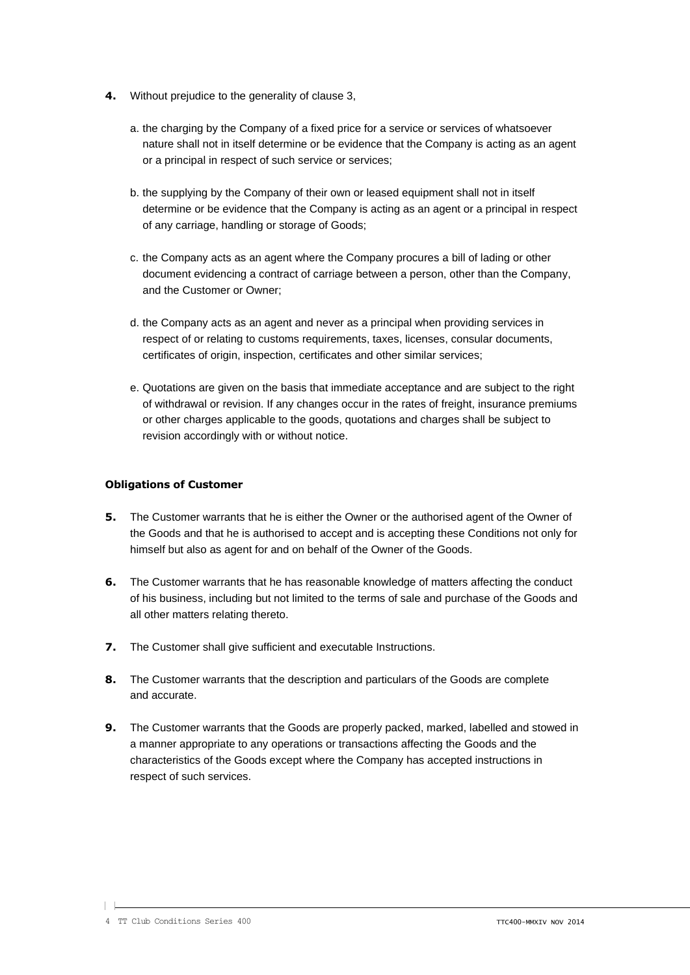- **4.** Without prejudice to the generality of clause 3,
	- a. the charging by the Company of a fixed price for a service or services of whatsoever nature shall not in itself determine or be evidence that the Company is acting as an agent or a principal in respect of such service or services;
	- b. the supplying by the Company of their own or leased equipment shall not in itself determine or be evidence that the Company is acting as an agent or a principal in respect of any carriage, handling or storage of Goods;
	- c. the Company acts as an agent where the Company procures a bill of lading or other document evidencing a contract of carriage between a person, other than the Company, and the Customer or Owner;
	- d. the Company acts as an agent and never as a principal when providing services in respect of or relating to customs requirements, taxes, licenses, consular documents, certificates of origin, inspection, certificates and other similar services;
	- e. Quotations are given on the basis that immediate acceptance and are subject to the right of withdrawal or revision. If any changes occur in the rates of freight, insurance premiums or other charges applicable to the goods, quotations and charges shall be subject to revision accordingly with or without notice.

#### **Obligations of Customer**

- **5.** The Customer warrants that he is either the Owner or the authorised agent of the Owner of the Goods and that he is authorised to accept and is accepting these Conditions not only for himself but also as agent for and on behalf of the Owner of the Goods.
- **6.** The Customer warrants that he has reasonable knowledge of matters affecting the conduct of his business, including but not limited to the terms of sale and purchase of the Goods and all other matters relating thereto.
- **7.** The Customer shall give sufficient and executable Instructions.
- **8.** The Customer warrants that the description and particulars of the Goods are complete and accurate.
- **9.** The Customer warrants that the Goods are properly packed, marked, labelled and stowed in a manner appropriate to any operations or transactions affecting the Goods and the characteristics of the Goods except where the Company has accepted instructions in respect of such services.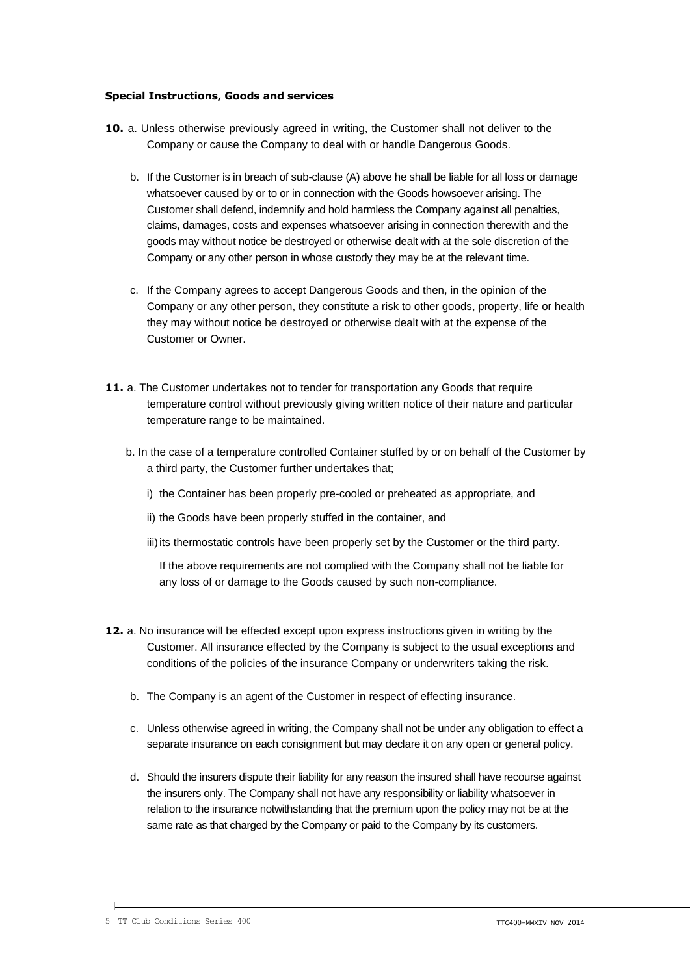#### **Special Instructions, Goods and services**

- **10.** a. Unless otherwise previously agreed in writing, the Customer shall not deliver to the Company or cause the Company to deal with or handle Dangerous Goods.
	- b. If the Customer is in breach of sub-clause (A) above he shall be liable for all loss or damage whatsoever caused by or to or in connection with the Goods howsoever arising. The Customer shall defend, indemnify and hold harmless the Company against all penalties, claims, damages, costs and expenses whatsoever arising in connection therewith and the goods may without notice be destroyed or otherwise dealt with at the sole discretion of the Company or any other person in whose custody they may be at the relevant time.
	- c. If the Company agrees to accept Dangerous Goods and then, in the opinion of the Company or any other person, they constitute a risk to other goods, property, life or health they may without notice be destroyed or otherwise dealt with at the expense of the Customer or Owner.
- **11.** a. The Customer undertakes not to tender for transportation any Goods that require temperature control without previously giving written notice of their nature and particular temperature range to be maintained.
	- b. In the case of a temperature controlled Container stuffed by or on behalf of the Customer by a third party, the Customer further undertakes that;
		- i) the Container has been properly pre-cooled or preheated as appropriate, and
		- ii) the Goods have been properly stuffed in the container, and
		- iii) its thermostatic controls have been properly set by the Customer or the third party.

If the above requirements are not complied with the Company shall not be liable for any loss of or damage to the Goods caused by such non-compliance.

- **12.** a. No insurance will be effected except upon express instructions given in writing by the Customer. All insurance effected by the Company is subject to the usual exceptions and conditions of the policies of the insurance Company or underwriters taking the risk.
	- b. The Company is an agent of the Customer in respect of effecting insurance.
	- c. Unless otherwise agreed in writing, the Company shall not be under any obligation to effect a separate insurance on each consignment but may declare it on any open or general policy.
	- d. Should the insurers dispute their liability for any reason the insured shall have recourse against the insurers only. The Company shall not have any responsibility or liability whatsoever in relation to the insurance notwithstanding that the premium upon the policy may not be at the same rate as that charged by the Company or paid to the Company by its customers.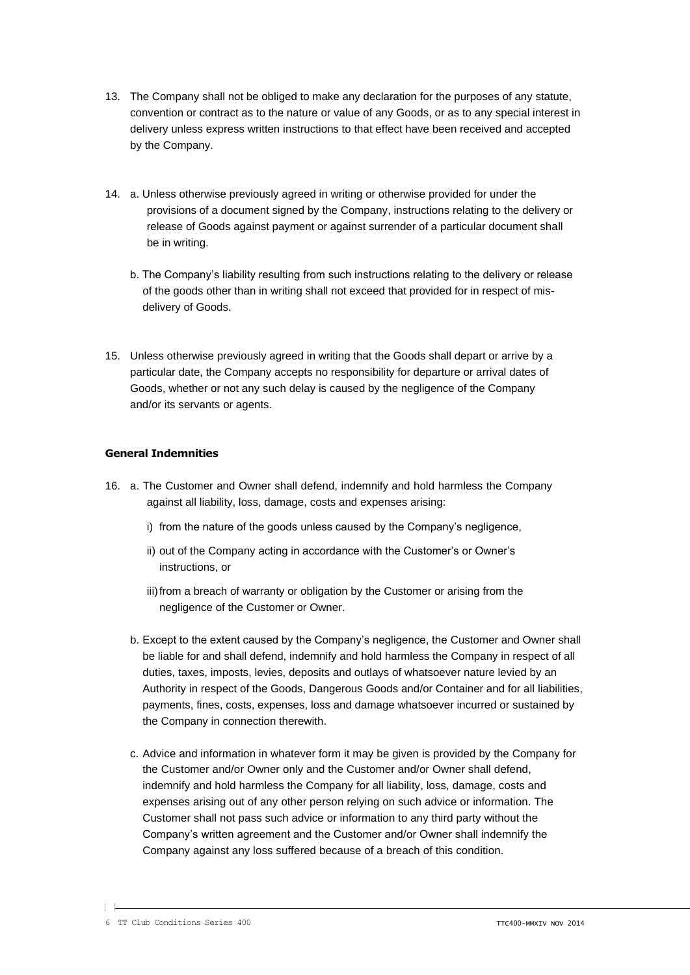- 13. The Company shall not be obliged to make any declaration for the purposes of any statute, convention or contract as to the nature or value of any Goods, or as to any special interest in delivery unless express written instructions to that effect have been received and accepted by the Company.
- 14. a. Unless otherwise previously agreed in writing or otherwise provided for under the provisions of a document signed by the Company, instructions relating to the delivery or release of Goods against payment or against surrender of a particular document shall be in writing.
	- b. The Company's liability resulting from such instructions relating to the delivery or release of the goods other than in writing shall not exceed that provided for in respect of misdelivery of Goods.
- 15. Unless otherwise previously agreed in writing that the Goods shall depart or arrive by a particular date, the Company accepts no responsibility for departure or arrival dates of Goods, whether or not any such delay is caused by the negligence of the Company and/or its servants or agents.

#### **General Indemnities**

- 16. a. The Customer and Owner shall defend, indemnify and hold harmless the Company against all liability, loss, damage, costs and expenses arising:
	- i) from the nature of the goods unless caused by the Company's negligence,
	- ii) out of the Company acting in accordance with the Customer's or Owner's instructions, or
	- iii)from a breach of warranty or obligation by the Customer or arising from the negligence of the Customer or Owner.
	- b. Except to the extent caused by the Company's negligence, the Customer and Owner shall be liable for and shall defend, indemnify and hold harmless the Company in respect of all duties, taxes, imposts, levies, deposits and outlays of whatsoever nature levied by an Authority in respect of the Goods, Dangerous Goods and/or Container and for all liabilities, payments, fines, costs, expenses, loss and damage whatsoever incurred or sustained by the Company in connection therewith.
	- c. Advice and information in whatever form it may be given is provided by the Company for the Customer and/or Owner only and the Customer and/or Owner shall defend, indemnify and hold harmless the Company for all liability, loss, damage, costs and expenses arising out of any other person relying on such advice or information. The Customer shall not pass such advice or information to any third party without the Company's written agreement and the Customer and/or Owner shall indemnify the Company against any loss suffered because of a breach of this condition.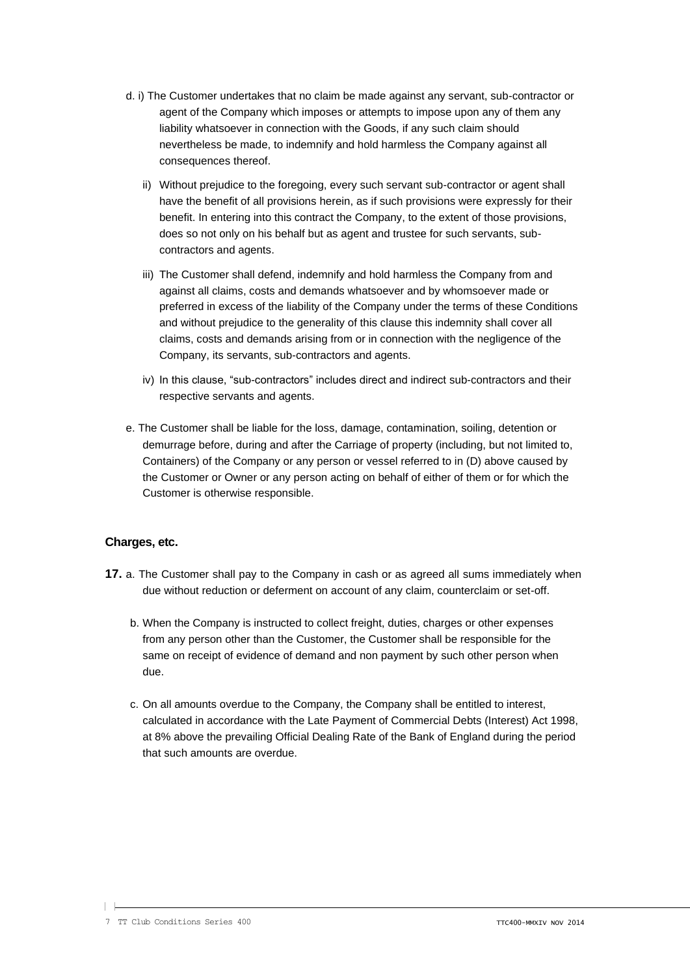- d. i) The Customer undertakes that no claim be made against any servant, sub-contractor or agent of the Company which imposes or attempts to impose upon any of them any liability whatsoever in connection with the Goods, if any such claim should nevertheless be made, to indemnify and hold harmless the Company against all consequences thereof.
	- ii) Without prejudice to the foregoing, every such servant sub-contractor or agent shall have the benefit of all provisions herein, as if such provisions were expressly for their benefit. In entering into this contract the Company, to the extent of those provisions, does so not only on his behalf but as agent and trustee for such servants, subcontractors and agents.
	- iii) The Customer shall defend, indemnify and hold harmless the Company from and against all claims, costs and demands whatsoever and by whomsoever made or preferred in excess of the liability of the Company under the terms of these Conditions and without prejudice to the generality of this clause this indemnity shall cover all claims, costs and demands arising from or in connection with the negligence of the Company, its servants, sub-contractors and agents.
	- iv) In this clause, "sub-contractors" includes direct and indirect sub-contractors and their respective servants and agents.
- e. The Customer shall be liable for the loss, damage, contamination, soiling, detention or demurrage before, during and after the Carriage of property (including, but not limited to, Containers) of the Company or any person or vessel referred to in (D) above caused by the Customer or Owner or any person acting on behalf of either of them or for which the Customer is otherwise responsible.

## **Charges, etc.**

- **17.** a. The Customer shall pay to the Company in cash or as agreed all sums immediately when due without reduction or deferment on account of any claim, counterclaim or set-off.
	- b. When the Company is instructed to collect freight, duties, charges or other expenses from any person other than the Customer, the Customer shall be responsible for the same on receipt of evidence of demand and non payment by such other person when due.
	- c. On all amounts overdue to the Company, the Company shall be entitled to interest, calculated in accordance with the Late Payment of Commercial Debts (Interest) Act 1998, at 8% above the prevailing Official Dealing Rate of the Bank of England during the period that such amounts are overdue.

 $\mathsf{L}$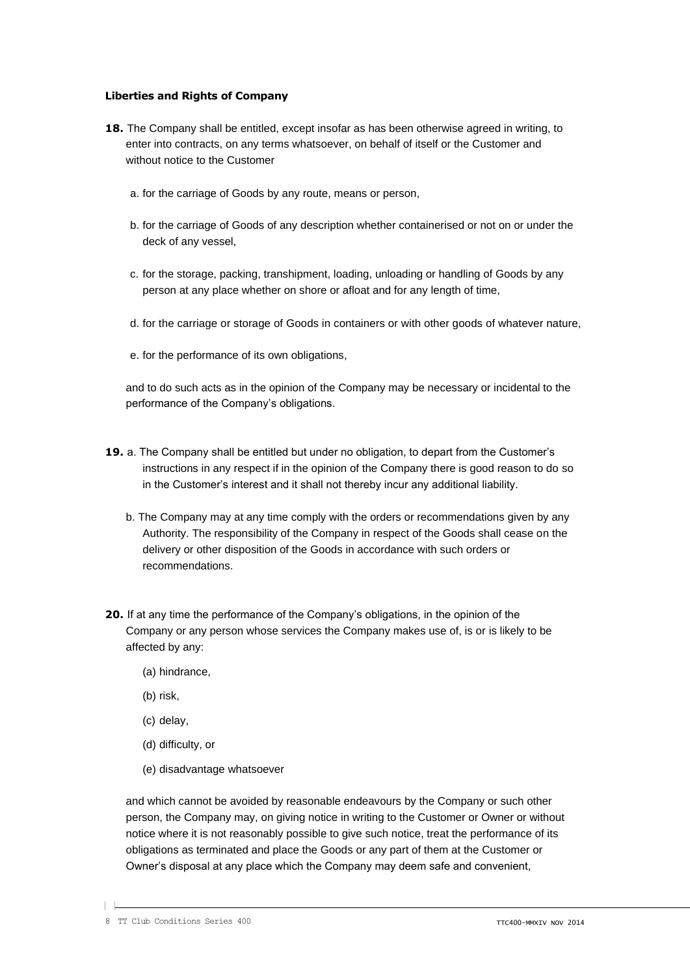#### **Liberties and Rights of Company**

- **18.** The Company shall be entitled, except insofar as has been otherwise agreed in writing, to enter into contracts, on any terms whatsoever, on behalf of itself or the Customer and without notice to the Customer
	- a. for the carriage of Goods by any route, means or person,
	- b. for the carriage of Goods of any description whether containerised or not on or under the deck of any vessel,
	- c. for the storage, packing, transhipment, loading, unloading or handling of Goods by any person at any place whether on shore or afloat and for any length of time,
	- d. for the carriage or storage of Goods in containers or with other goods of whatever nature,
	- e. for the performance of its own obligations,

and to do such acts as in the opinion of the Company may be necessary or incidental to the performance of the Company's obligations.

- **19.** a. The Company shall be entitled but under no obligation, to depart from the Customer's instructions in any respect if in the opinion of the Company there is good reason to do so in the Customer's interest and it shall not thereby incur any additional liability.
	- b. The Company may at any time comply with the orders or recommendations given by any Authority. The responsibility of the Company in respect of the Goods shall cease on the delivery or other disposition of the Goods in accordance with such orders or recommendations.
- **20.** If at any time the performance of the Company's obligations, in the opinion of the Company or any person whose services the Company makes use of, is or is likely to be affected by any:
	- (a) hindrance,
	- (b) risk,
	- (c) delay,
	- (d) difficulty, or
	- (e) disadvantage whatsoever

and which cannot be avoided by reasonable endeavours by the Company or such other person, the Company may, on giving notice in writing to the Customer or Owner or without notice where it is not reasonably possible to give such notice, treat the performance of its obligations as terminated and place the Goods or any part of them at the Customer or Owner's disposal at any place which the Company may deem safe and convenient,

 $\mathsf{L}$ 

<sup>8</sup> TT Club Conditions Series 400 TTC400-MMXIV NOV 2014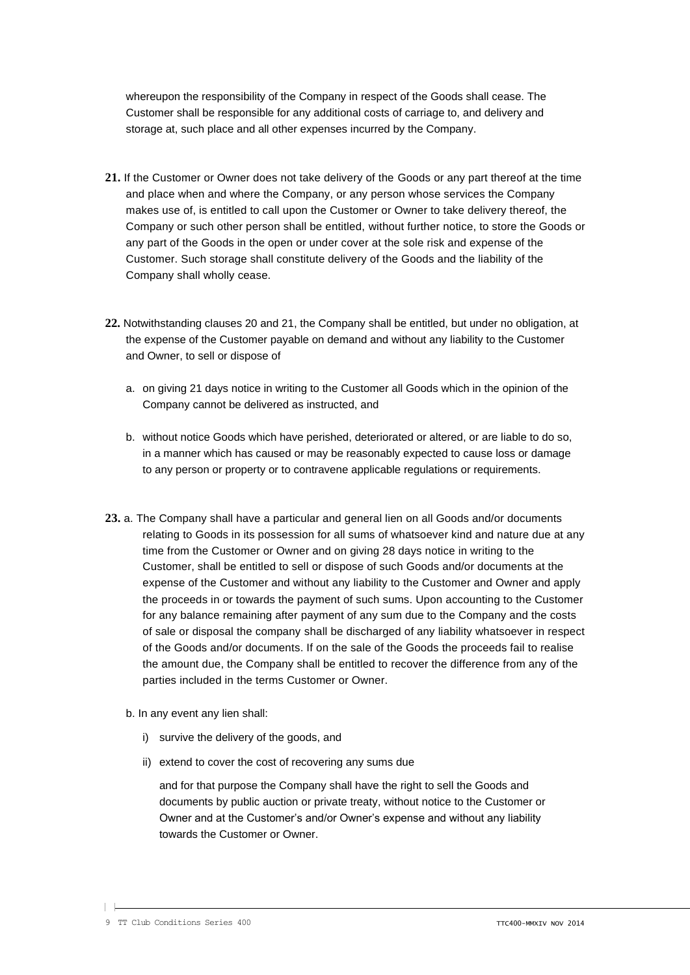whereupon the responsibility of the Company in respect of the Goods shall cease. The Customer shall be responsible for any additional costs of carriage to, and delivery and storage at, such place and all other expenses incurred by the Company.

- **21.** If the Customer or Owner does not take delivery of the Goods or any part thereof at the time and place when and where the Company, or any person whose services the Company makes use of, is entitled to call upon the Customer or Owner to take delivery thereof, the Company or such other person shall be entitled, without further notice, to store the Goods or any part of the Goods in the open or under cover at the sole risk and expense of the Customer. Such storage shall constitute delivery of the Goods and the liability of the Company shall wholly cease.
- **22.** Notwithstanding clauses 20 and 21, the Company shall be entitled, but under no obligation, at the expense of the Customer payable on demand and without any liability to the Customer and Owner, to sell or dispose of
	- a. on giving 21 days notice in writing to the Customer all Goods which in the opinion of the Company cannot be delivered as instructed, and
	- b. without notice Goods which have perished, deteriorated or altered, or are liable to do so, in a manner which has caused or may be reasonably expected to cause loss or damage to any person or property or to contravene applicable regulations or requirements.
- **23.** a. The Company shall have a particular and general lien on all Goods and/or documents relating to Goods in its possession for all sums of whatsoever kind and nature due at any time from the Customer or Owner and on giving 28 days notice in writing to the Customer, shall be entitled to sell or dispose of such Goods and/or documents at the expense of the Customer and without any liability to the Customer and Owner and apply the proceeds in or towards the payment of such sums. Upon accounting to the Customer for any balance remaining after payment of any sum due to the Company and the costs of sale or disposal the company shall be discharged of any liability whatsoever in respect of the Goods and/or documents. If on the sale of the Goods the proceeds fail to realise the amount due, the Company shall be entitled to recover the difference from any of the parties included in the terms Customer or Owner.
	- b. In any event any lien shall:
		- i) survive the delivery of the goods, and
		- ii) extend to cover the cost of recovering any sums due

and for that purpose the Company shall have the right to sell the Goods and documents by public auction or private treaty, without notice to the Customer or Owner and at the Customer's and/or Owner's expense and without any liability towards the Customer or Owner.

 $\vert \ \vert$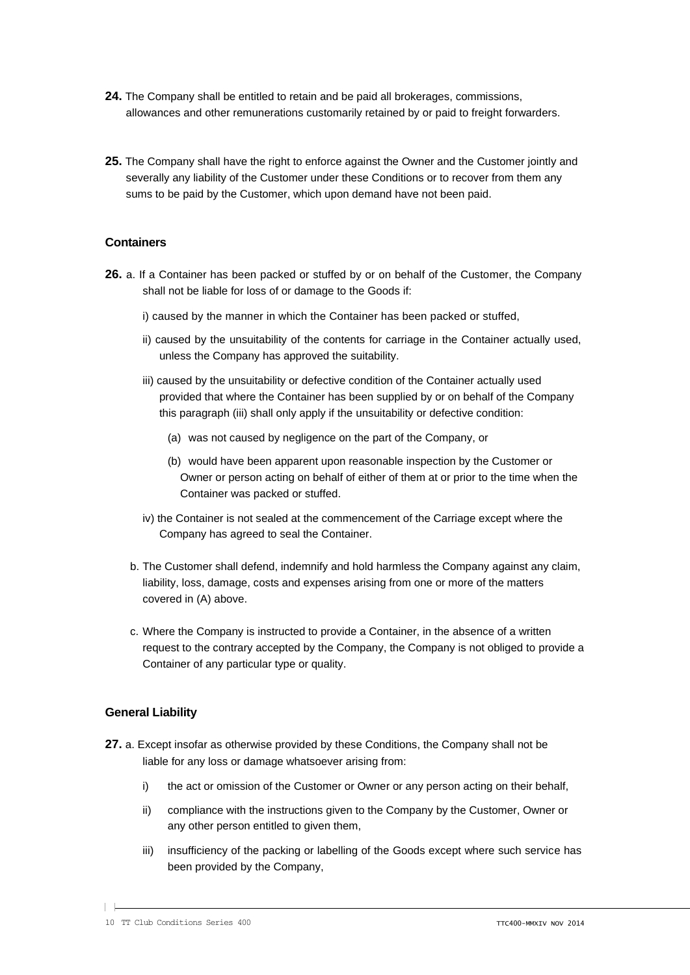- **24.** The Company shall be entitled to retain and be paid all brokerages, commissions, allowances and other remunerations customarily retained by or paid to freight forwarders.
- **25.** The Company shall have the right to enforce against the Owner and the Customer jointly and severally any liability of the Customer under these Conditions or to recover from them any sums to be paid by the Customer, which upon demand have not been paid.

#### **Containers**

- **26.** a. If a Container has been packed or stuffed by or on behalf of the Customer, the Company shall not be liable for loss of or damage to the Goods if:
	- i) caused by the manner in which the Container has been packed or stuffed,
	- ii) caused by the unsuitability of the contents for carriage in the Container actually used, unless the Company has approved the suitability.
	- iii) caused by the unsuitability or defective condition of the Container actually used provided that where the Container has been supplied by or on behalf of the Company this paragraph (iii) shall only apply if the unsuitability or defective condition:
		- (a) was not caused by negligence on the part of the Company, or
		- (b) would have been apparent upon reasonable inspection by the Customer or Owner or person acting on behalf of either of them at or prior to the time when the Container was packed or stuffed.
	- iv) the Container is not sealed at the commencement of the Carriage except where the Company has agreed to seal the Container.
	- b. The Customer shall defend, indemnify and hold harmless the Company against any claim, liability, loss, damage, costs and expenses arising from one or more of the matters covered in (A) above.
	- c. Where the Company is instructed to provide a Container, in the absence of a written request to the contrary accepted by the Company, the Company is not obliged to provide a Container of any particular type or quality.

#### **General Liability**

- **27.** a. Except insofar as otherwise provided by these Conditions, the Company shall not be liable for any loss or damage whatsoever arising from:
	- i) the act or omission of the Customer or Owner or any person acting on their behalf,
	- ii) compliance with the instructions given to the Company by the Customer, Owner or any other person entitled to given them,
	- iii) insufficiency of the packing or labelling of the Goods except where such service has been provided by the Company,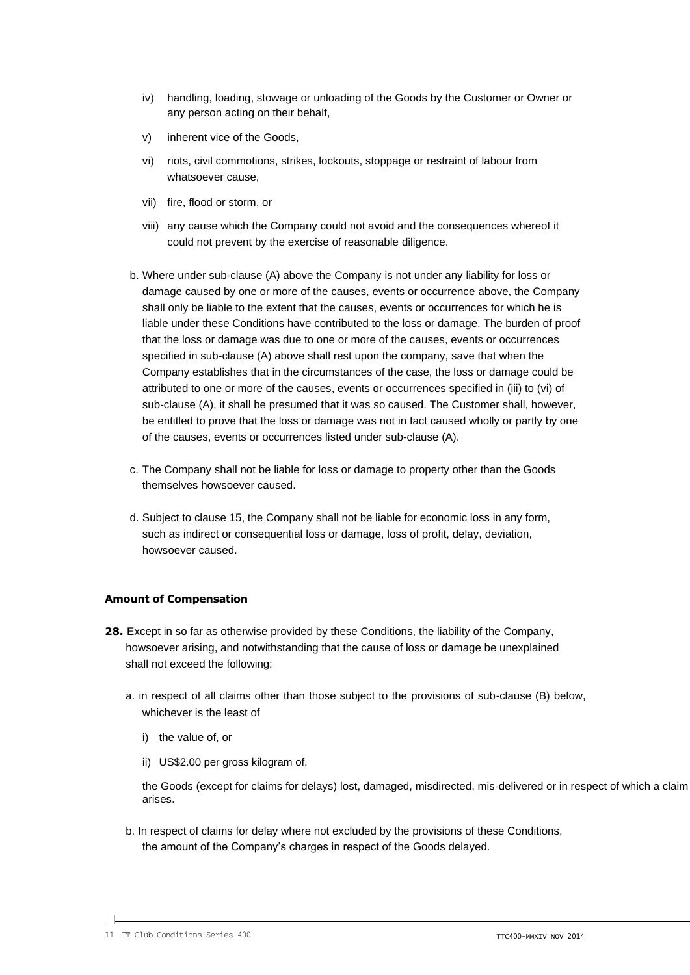- iv) handling, loading, stowage or unloading of the Goods by the Customer or Owner or any person acting on their behalf,
- v) inherent vice of the Goods,
- vi) riots, civil commotions, strikes, lockouts, stoppage or restraint of labour from whatsoever cause,
- vii) fire, flood or storm, or
- viii) any cause which the Company could not avoid and the consequences whereof it could not prevent by the exercise of reasonable diligence.
- b. Where under sub-clause (A) above the Company is not under any liability for loss or damage caused by one or more of the causes, events or occurrence above, the Company shall only be liable to the extent that the causes, events or occurrences for which he is liable under these Conditions have contributed to the loss or damage. The burden of proof that the loss or damage was due to one or more of the causes, events or occurrences specified in sub-clause (A) above shall rest upon the company, save that when the Company establishes that in the circumstances of the case, the loss or damage could be attributed to one or more of the causes, events or occurrences specified in (iii) to (vi) of sub-clause (A), it shall be presumed that it was so caused. The Customer shall, however, be entitled to prove that the loss or damage was not in fact caused wholly or partly by one of the causes, events or occurrences listed under sub-clause (A).
- c. The Company shall not be liable for loss or damage to property other than the Goods themselves howsoever caused.
- d. Subject to clause 15, the Company shall not be liable for economic loss in any form, such as indirect or consequential loss or damage, loss of profit, delay, deviation, howsoever caused.

#### **Amount of Compensation**

- **28.** Except in so far as otherwise provided by these Conditions, the liability of the Company, howsoever arising, and notwithstanding that the cause of loss or damage be unexplained shall not exceed the following:
	- a. in respect of all claims other than those subject to the provisions of sub-clause (B) below, whichever is the least of
		- i) the value of, or
		- ii) US\$2.00 per gross kilogram of,

the Goods (except for claims for delays) lost, damaged, misdirected, mis-delivered or in respect of which a claim arises.

b. In respect of claims for delay where not excluded by the provisions of these Conditions, the amount of the Company's charges in respect of the Goods delayed.

<sup>11</sup> TT Club Conditions Series 400 **TTC400-MMXIV NOV 2014** TTC400-MMXIV NOV 2014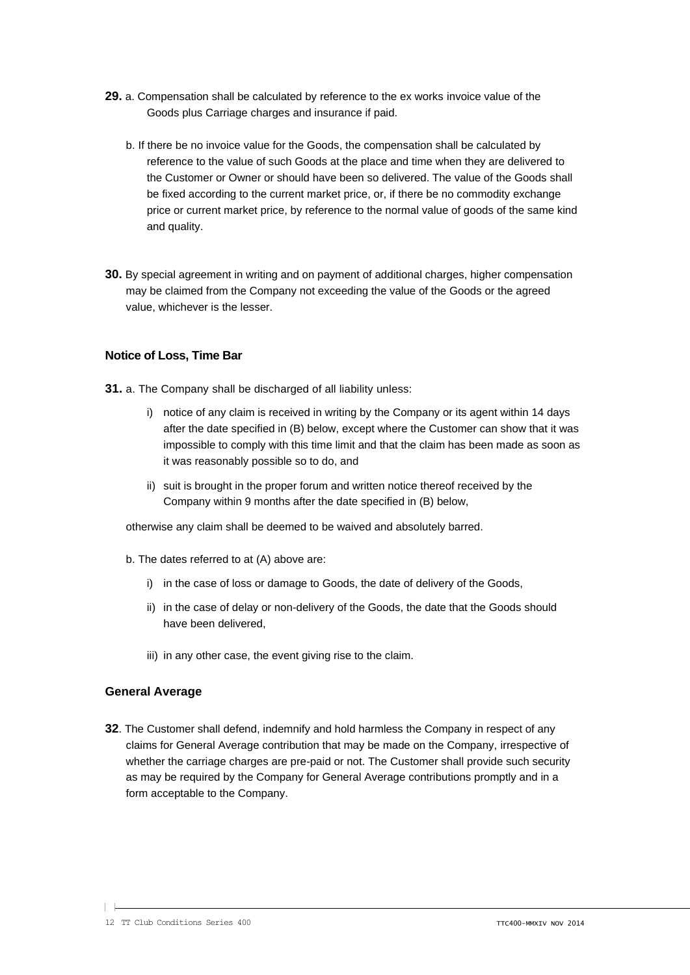- **29.** a. Compensation shall be calculated by reference to the ex works invoice value of the Goods plus Carriage charges and insurance if paid.
	- b. If there be no invoice value for the Goods, the compensation shall be calculated by reference to the value of such Goods at the place and time when they are delivered to the Customer or Owner or should have been so delivered. The value of the Goods shall be fixed according to the current market price, or, if there be no commodity exchange price or current market price, by reference to the normal value of goods of the same kind and quality.
- **30.** By special agreement in writing and on payment of additional charges, higher compensation may be claimed from the Company not exceeding the value of the Goods or the agreed value, whichever is the lesser.

#### **Notice of Loss, Time Bar**

- **31.** a. The Company shall be discharged of all liability unless:
	- i) notice of any claim is received in writing by the Company or its agent within 14 days after the date specified in (B) below, except where the Customer can show that it was impossible to comply with this time limit and that the claim has been made as soon as it was reasonably possible so to do, and
	- ii) suit is brought in the proper forum and written notice thereof received by the Company within 9 months after the date specified in (B) below,

otherwise any claim shall be deemed to be waived and absolutely barred.

- b. The dates referred to at (A) above are:
	- i) in the case of loss or damage to Goods, the date of delivery of the Goods,
	- ii) in the case of delay or non-delivery of the Goods, the date that the Goods should have been delivered,
	- iii) in any other case, the event giving rise to the claim.

#### **General Average**

**32**. The Customer shall defend, indemnify and hold harmless the Company in respect of any claims for General Average contribution that may be made on the Company, irrespective of whether the carriage charges are pre-paid or not. The Customer shall provide such security as may be required by the Company for General Average contributions promptly and in a form acceptable to the Company.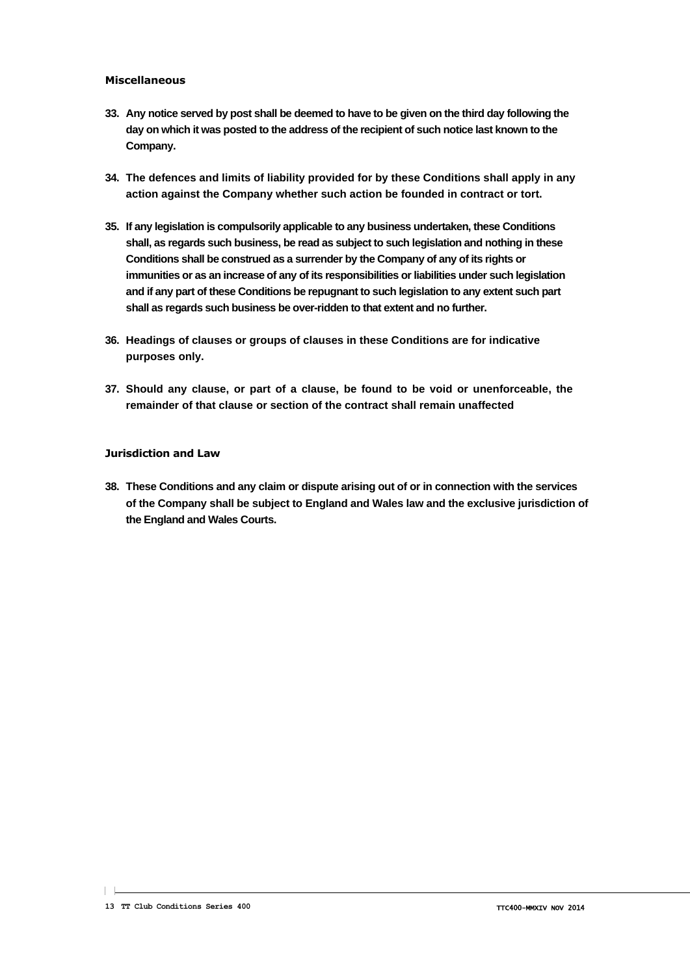#### **Miscellaneous**

- **33. Any notice served by post shall be deemed to have to be given on the third day following the day on which it was posted to the address of the recipient of such notice last known to the Company.**
- **34. The defences and limits of liability provided for by these Conditions shall apply in any action against the Company whether such action be founded in contract or tort.**
- **35. If any legislation is compulsorily applicable to any business undertaken, these Conditions shall, as regards such business, be read as subject to such legislation and nothing in these Conditions shall be construed as a surrender by the Company of any of its rights or immunities or as an increase of any of its responsibilities or liabilities under such legislation and if any part of these Conditions be repugnant to such legislation to any extent such part shall as regards such business be over-ridden to that extent and no further.**
- **36. Headings of clauses or groups of clauses in these Conditions are for indicative purposes only.**
- **37. Should any clause, or part of a clause, be found to be void or unenforceable, the remainder of that clause or section of the contract shall remain unaffected**

#### **Jurisdiction and Law**

**38. These Conditions and any claim or dispute arising out of or in connection with the services of the Company shall be subject to England and Wales law and the exclusive jurisdiction of the England and Wales Courts.**

 $\mathbf{L}$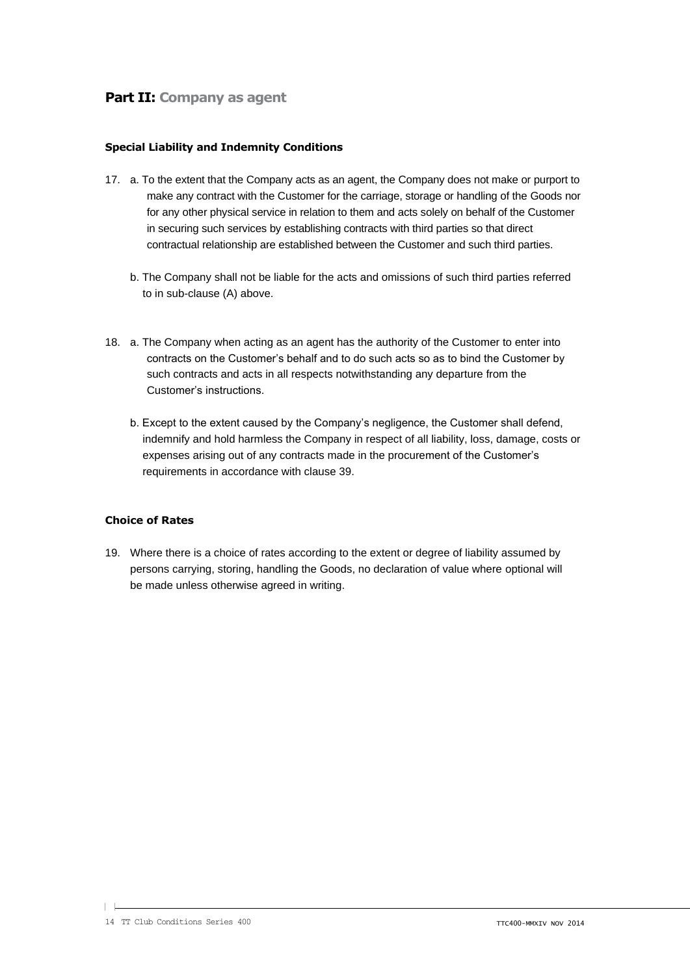## **Part II: Company as agent**

#### **Special Liability and Indemnity Conditions**

- 17. a. To the extent that the Company acts as an agent, the Company does not make or purport to make any contract with the Customer for the carriage, storage or handling of the Goods nor for any other physical service in relation to them and acts solely on behalf of the Customer in securing such services by establishing contracts with third parties so that direct contractual relationship are established between the Customer and such third parties.
	- b. The Company shall not be liable for the acts and omissions of such third parties referred to in sub-clause (A) above.
- 18. a. The Company when acting as an agent has the authority of the Customer to enter into contracts on the Customer's behalf and to do such acts so as to bind the Customer by such contracts and acts in all respects notwithstanding any departure from the Customer's instructions.
	- b. Except to the extent caused by the Company's negligence, the Customer shall defend, indemnify and hold harmless the Company in respect of all liability, loss, damage, costs or expenses arising out of any contracts made in the procurement of the Customer's requirements in accordance with clause 39.

#### **Choice of Rates**

19. Where there is a choice of rates according to the extent or degree of liability assumed by persons carrying, storing, handling the Goods, no declaration of value where optional will be made unless otherwise agreed in writing.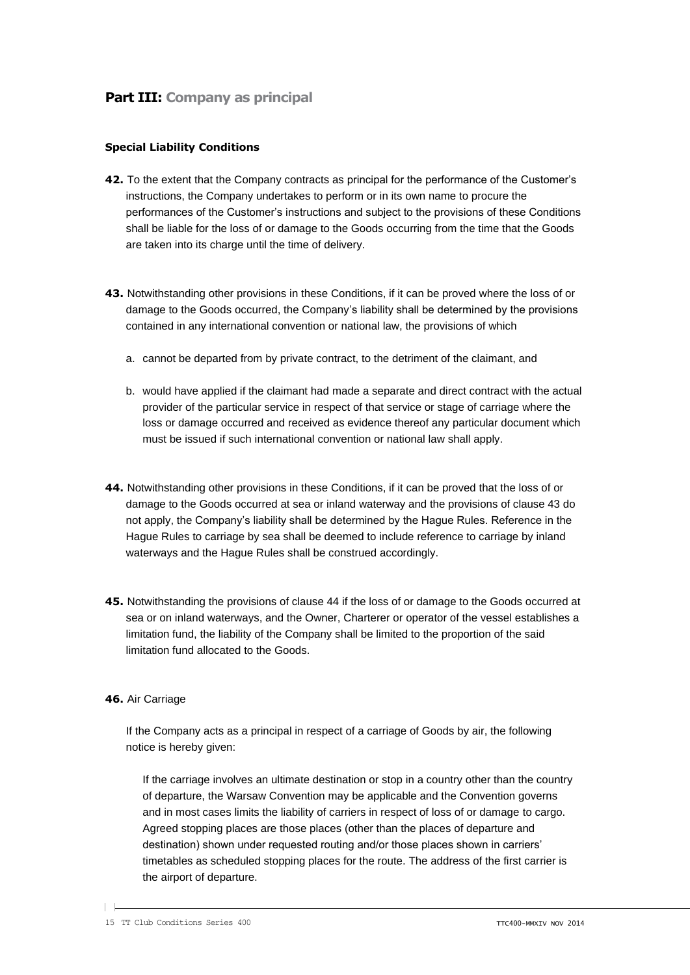#### **Special Liability Conditions**

- **42.** To the extent that the Company contracts as principal for the performance of the Customer's instructions, the Company undertakes to perform or in its own name to procure the performances of the Customer's instructions and subject to the provisions of these Conditions shall be liable for the loss of or damage to the Goods occurring from the time that the Goods are taken into its charge until the time of delivery.
- **43.** Notwithstanding other provisions in these Conditions, if it can be proved where the loss of or damage to the Goods occurred, the Company's liability shall be determined by the provisions contained in any international convention or national law, the provisions of which
	- a. cannot be departed from by private contract, to the detriment of the claimant, and
	- b. would have applied if the claimant had made a separate and direct contract with the actual provider of the particular service in respect of that service or stage of carriage where the loss or damage occurred and received as evidence thereof any particular document which must be issued if such international convention or national law shall apply.
- **44.** Notwithstanding other provisions in these Conditions, if it can be proved that the loss of or damage to the Goods occurred at sea or inland waterway and the provisions of clause 43 do not apply, the Company's liability shall be determined by the Hague Rules. Reference in the Hague Rules to carriage by sea shall be deemed to include reference to carriage by inland waterways and the Hague Rules shall be construed accordingly.
- **45.** Notwithstanding the provisions of clause 44 if the loss of or damage to the Goods occurred at sea or on inland waterways, and the Owner, Charterer or operator of the vessel establishes a limitation fund, the liability of the Company shall be limited to the proportion of the said limitation fund allocated to the Goods.

#### **46.** Air Carriage

If the Company acts as a principal in respect of a carriage of Goods by air, the following notice is hereby given:

If the carriage involves an ultimate destination or stop in a country other than the country of departure, the Warsaw Convention may be applicable and the Convention governs and in most cases limits the liability of carriers in respect of loss of or damage to cargo. Agreed stopping places are those places (other than the places of departure and destination) shown under requested routing and/or those places shown in carriers' timetables as scheduled stopping places for the route. The address of the first carrier is the airport of departure.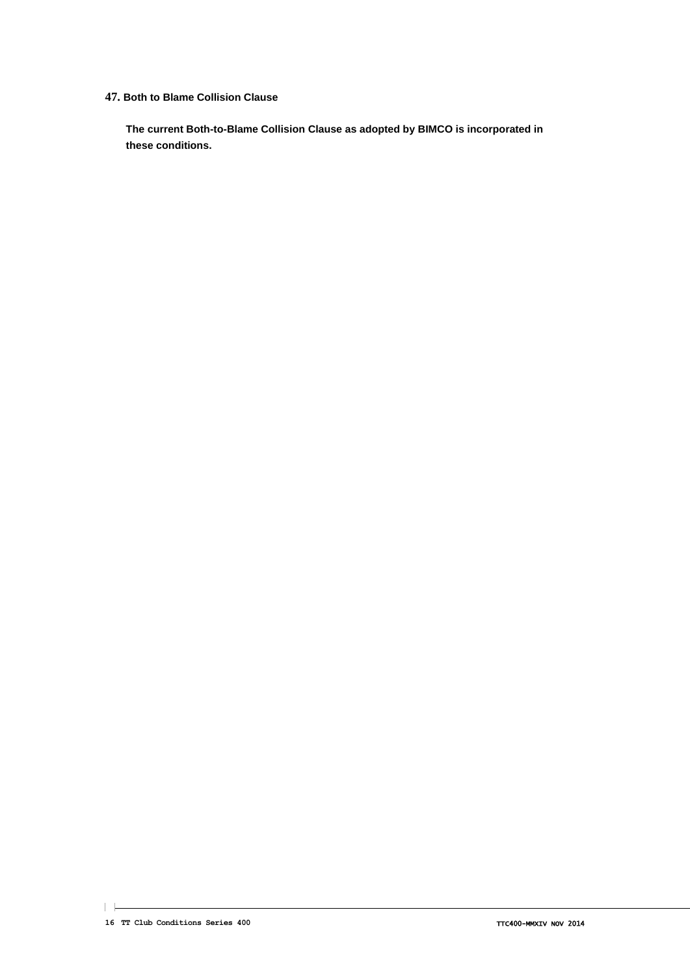#### **47. Both to Blame Collision Clause**

**The current Both-to-Blame Collision Clause as adopted by BIMCO is incorporated in these conditions.**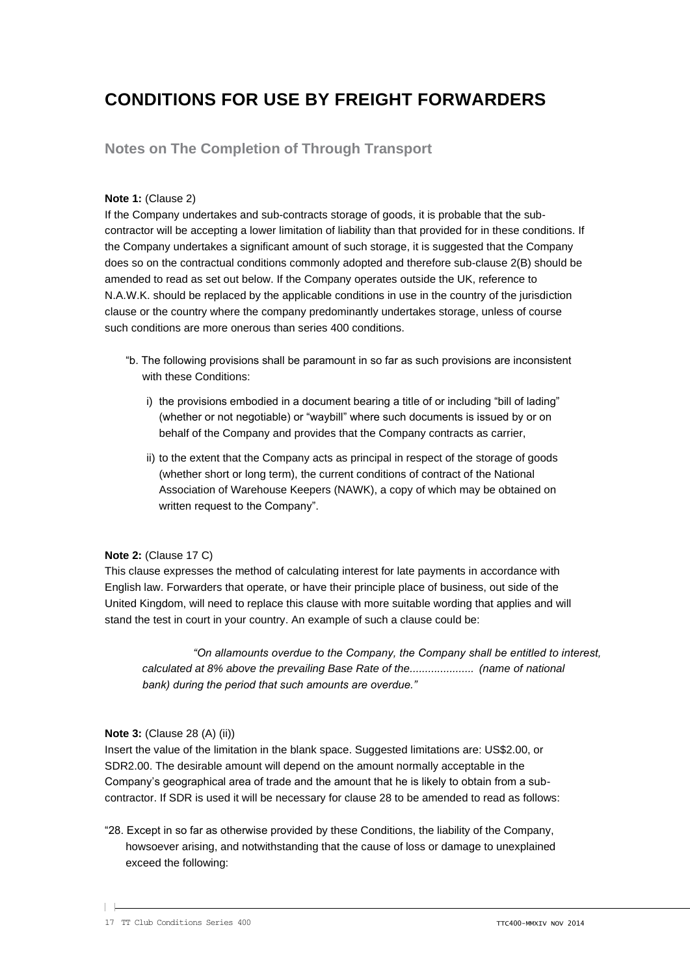# **CONDITIONS FOR USE BY FREIGHT FORWARDERS**

## **Notes on The Completion of Through Transport**

#### **Note 1:** (Clause 2)

If the Company undertakes and sub-contracts storage of goods, it is probable that the subcontractor will be accepting a lower limitation of liability than that provided for in these conditions. If the Company undertakes a significant amount of such storage, it is suggested that the Company does so on the contractual conditions commonly adopted and therefore sub-clause 2(B) should be amended to read as set out below. If the Company operates outside the UK, reference to N.A.W.K. should be replaced by the applicable conditions in use in the country of the jurisdiction clause or the country where the company predominantly undertakes storage, unless of course such conditions are more onerous than series 400 conditions.

- "b. The following provisions shall be paramount in so far as such provisions are inconsistent with these Conditions:
	- i) the provisions embodied in a document bearing a title of or including "bill of lading" (whether or not negotiable) or "waybill" where such documents is issued by or on behalf of the Company and provides that the Company contracts as carrier,
	- ii) to the extent that the Company acts as principal in respect of the storage of goods (whether short or long term), the current conditions of contract of the National Association of Warehouse Keepers (NAWK), a copy of which may be obtained on written request to the Company".

#### **Note 2:** (Clause 17 C)

This clause expresses the method of calculating interest for late payments in accordance with English law. Forwarders that operate, or have their principle place of business, out side of the United Kingdom, will need to replace this clause with more suitable wording that applies and will stand the test in court in your country. An example of such a clause could be:

*"On allamounts overdue to the Company, the Company shall be entitled to interest, calculated at 8% above the prevailing Base Rate of the..................... (name of national bank) during the period that such amounts are overdue."*

#### **Note 3:** (Clause 28 (A) (ii))

Insert the value of the limitation in the blank space. Suggested limitations are: US\$2.00, or SDR2.00. The desirable amount will depend on the amount normally acceptable in the Company's geographical area of trade and the amount that he is likely to obtain from a subcontractor. If SDR is used it will be necessary for clause 28 to be amended to read as follows:

"28. Except in so far as otherwise provided by these Conditions, the liability of the Company, howsoever arising, and notwithstanding that the cause of loss or damage to unexplained exceed the following: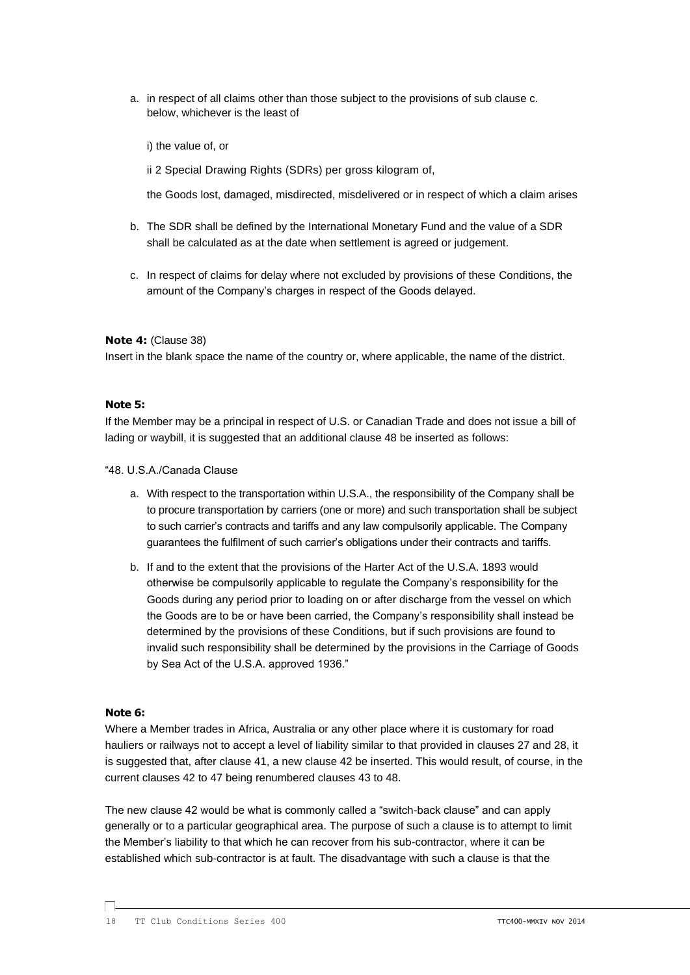a. in respect of all claims other than those subject to the provisions of sub clause c. below, whichever is the least of

i) the value of, or

ii 2 Special Drawing Rights (SDRs) per gross kilogram of,

the Goods lost, damaged, misdirected, misdelivered or in respect of which a claim arises

- b. The SDR shall be defined by the International Monetary Fund and the value of a SDR shall be calculated as at the date when settlement is agreed or judgement.
- c. In respect of claims for delay where not excluded by provisions of these Conditions, the amount of the Company's charges in respect of the Goods delayed.

#### **Note 4:** (Clause 38)

Insert in the blank space the name of the country or, where applicable, the name of the district.

#### **Note 5:**

If the Member may be a principal in respect of U.S. or Canadian Trade and does not issue a bill of lading or waybill, it is suggested that an additional clause 48 be inserted as follows:

"48. U.S.A./Canada Clause

- a. With respect to the transportation within U.S.A., the responsibility of the Company shall be to procure transportation by carriers (one or more) and such transportation shall be subject to such carrier's contracts and tariffs and any law compulsorily applicable. The Company guarantees the fulfilment of such carrier's obligations under their contracts and tariffs.
- b. If and to the extent that the provisions of the Harter Act of the U.S.A. 1893 would otherwise be compulsorily applicable to regulate the Company's responsibility for the Goods during any period prior to loading on or after discharge from the vessel on which the Goods are to be or have been carried, the Company's responsibility shall instead be determined by the provisions of these Conditions, but if such provisions are found to invalid such responsibility shall be determined by the provisions in the Carriage of Goods by Sea Act of the U.S.A. approved 1936."

#### **Note 6:**

 $\Box$ 

Where a Member trades in Africa, Australia or any other place where it is customary for road hauliers or railways not to accept a level of liability similar to that provided in clauses 27 and 28, it is suggested that, after clause 41, a new clause 42 be inserted. This would result, of course, in the current clauses 42 to 47 being renumbered clauses 43 to 48.

The new clause 42 would be what is commonly called a "switch-back clause" and can apply generally or to a particular geographical area. The purpose of such a clause is to attempt to limit the Member's liability to that which he can recover from his sub-contractor, where it can be established which sub-contractor is at fault. The disadvantage with such a clause is that the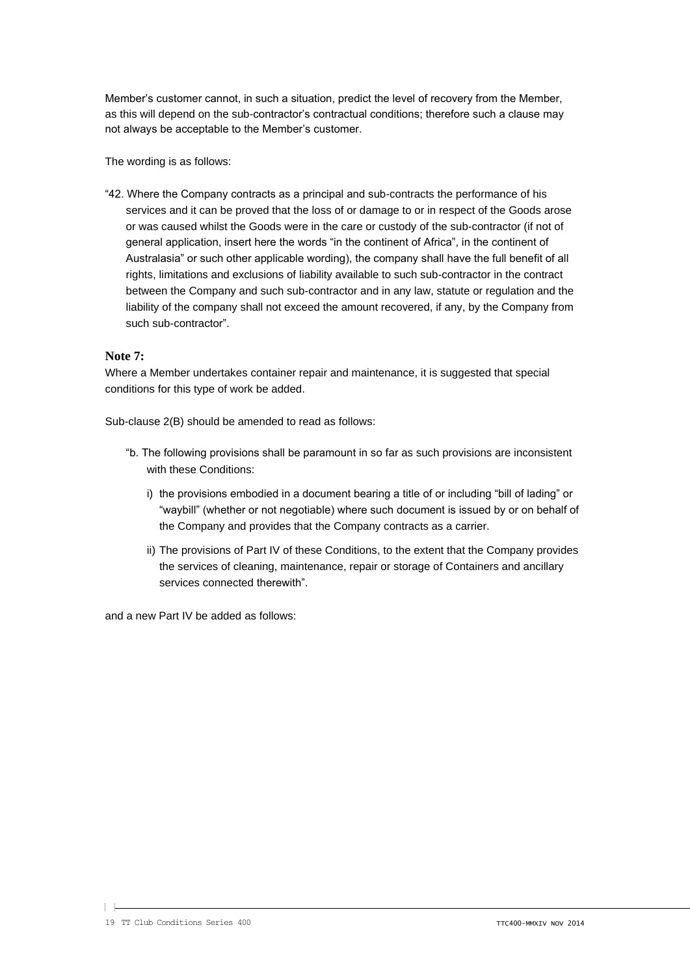Member's customer cannot, in such a situation, predict the level of recovery from the Member, as this will depend on the sub-contractor's contractual conditions; therefore such a clause may not always be acceptable to the Member's customer.

The wording is as follows:

"42. Where the Company contracts as a principal and sub-contracts the performance of his services and it can be proved that the loss of or damage to or in respect of the Goods arose or was caused whilst the Goods were in the care or custody of the sub-contractor (if not of general application, insert here the words "in the continent of Africa", in the continent of Australasia" or such other applicable wording), the company shall have the full benefit of all rights, limitations and exclusions of liability available to such sub-contractor in the contract between the Company and such sub-contractor and in any law, statute or regulation and the liability of the company shall not exceed the amount recovered, if any, by the Company from such sub-contractor".

#### **Note 7:**

Where a Member undertakes container repair and maintenance, it is suggested that special conditions for this type of work be added.

Sub-clause 2(B) should be amended to read as follows:

- "b. The following provisions shall be paramount in so far as such provisions are inconsistent with these Conditions:
	- i) the provisions embodied in a document bearing a title of or including "bill of lading" or "waybill" (whether or not negotiable) where such document is issued by or on behalf of the Company and provides that the Company contracts as a carrier.
	- ii) The provisions of Part IV of these Conditions, to the extent that the Company provides the services of cleaning, maintenance, repair or storage of Containers and ancillary services connected therewith".

and a new Part IV be added as follows:

 $\vert \ \vert$